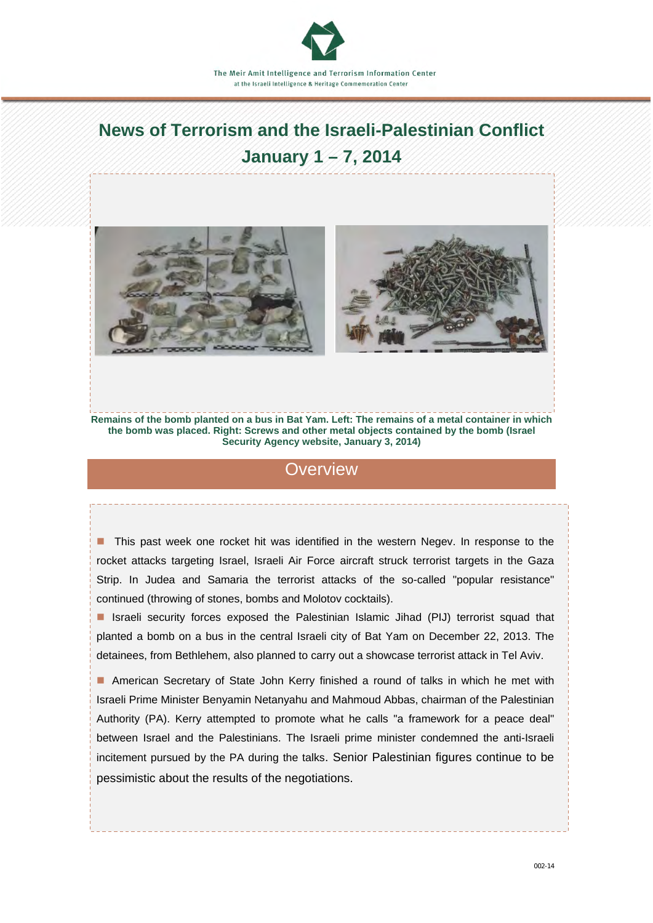# **News of Terrorism and the Israeli-Palestinian Conflict January 1 – 7, 2014**





**Remains of the bomb planted on a bus in Bat Yam. Left: The remains of a metal container in which the bomb was placed. Right: Screws and other metal objects contained by the bomb (Israel Security Agency website, January 3, 2014)**

### **Overview**

**This past week one rocket hit was identified in the western Negev. In response to the** rocket attacks targeting Israel, Israeli Air Force aircraft struck terrorist targets in the Gaza Strip. In Judea and Samaria the terrorist attacks of the so-called "popular resistance" continued (throwing of stones, bombs and Molotov cocktails).

■ Israeli security forces exposed the Palestinian Islamic Jihad (PIJ) terrorist squad that planted a bomb on a bus in the central Israeli city of Bat Yam on December 22, 2013. The detainees, from Bethlehem, also planned to carry out a showcase terrorist attack in Tel Aviv.

 American Secretary of State John Kerry finished a round of talks in which he met with Israeli Prime Minister Benyamin Netanyahu and Mahmoud Abbas, chairman of the Palestinian Authority (PA). Kerry attempted to promote what he calls "a framework for a peace deal" between Israel and the Palestinians. The Israeli prime minister condemned the anti-Israeli incitement pursued by the PA during the talks. Senior Palestinian figures continue to be pessimistic about the results of the negotiations.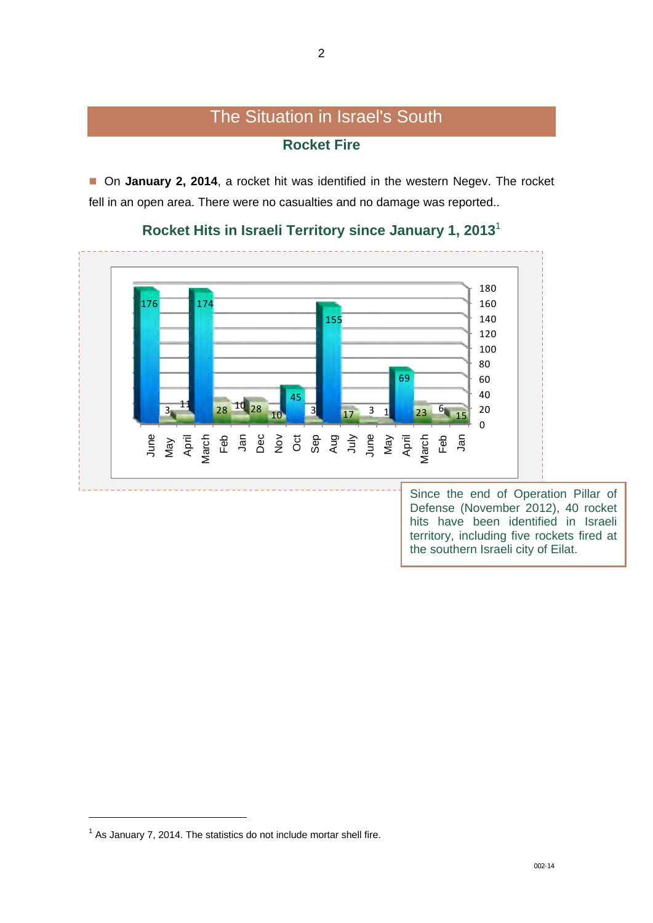## The Situation in Israel's South **Rocket Fire**

■ On **January 2, 2014**, a rocket hit was identified in the western Negev. The rocket fell in an open area. There were no casualties and no damage was reported..



### **Rocket Hits in Israeli Territory since January 1, 2013**<sup>1</sup>

Since the end of Operation Pillar of Defense (November 2012), 40 rocket hits have been identified in Israeli territory, including five rockets fired at the southern Israeli city of Eilat.

 $\overline{a}$ 

As January 7, 2014. The statistics do not include mortar shell fire.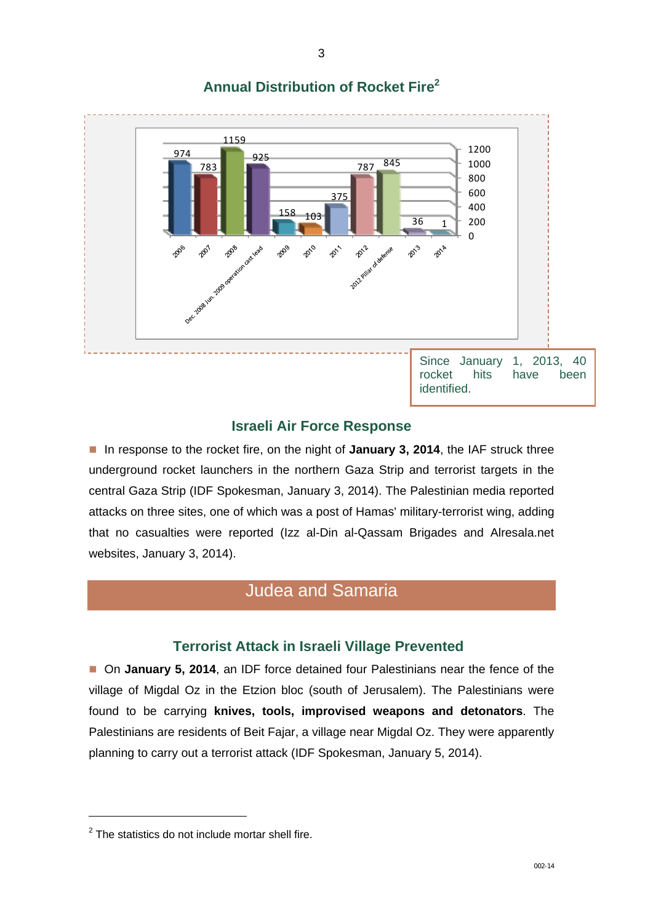

## **Annual Distribution of Rocket Fire<sup>2</sup>**

### **Israeli Air Force Response**

■ In response to the rocket fire, on the night of **January 3, 2014**, the IAF struck three underground rocket launchers in the northern Gaza Strip and terrorist targets in the central Gaza Strip (IDF Spokesman, January 3, 2014). The Palestinian media reported attacks on three sites, one of which was a post of Hamas' military-terrorist wing, adding that no casualties were reported (Izz al-Din al-Qassam Brigades and Alresala.net websites, January 3, 2014).

## Judea and Samaria

### **Terrorist Attack in Israeli Village Prevented**

■ On **January 5, 2014**, an IDF force detained four Palestinians near the fence of the village of Migdal Oz in the Etzion bloc (south of Jerusalem). The Palestinians were found to be carrying **knives, tools, improvised weapons and detonators**. The Palestinians are residents of Beit Fajar, a village near Migdal Oz. They were apparently planning to carry out a terrorist attack (IDF Spokesman, January 5, 2014).

 $\overline{a}$ 

 $2$  The statistics do not include mortar shell fire.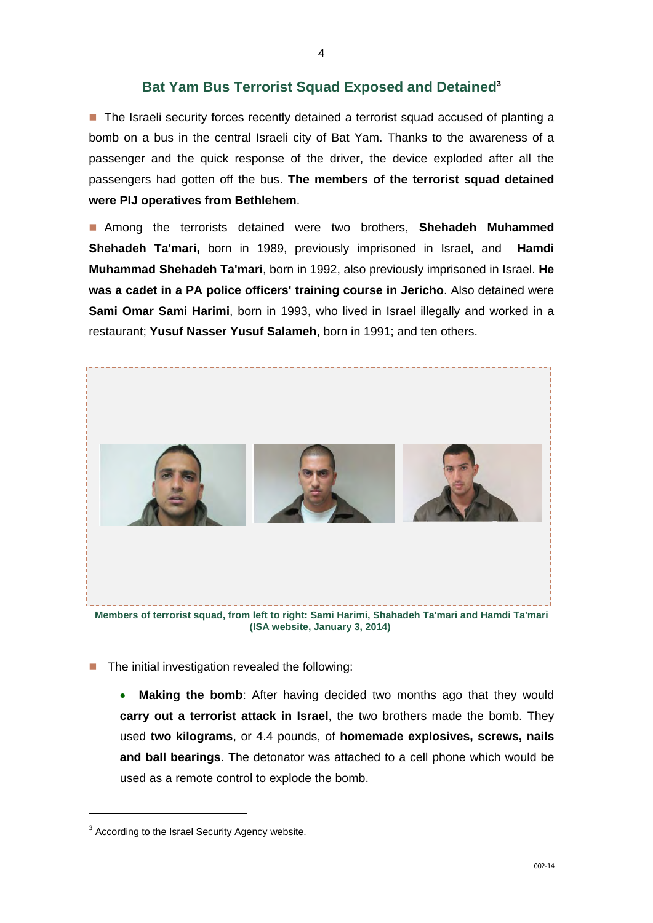### **Bat Yam Bus Terrorist Squad Exposed and Detained3**

■ The Israeli security forces recently detained a terrorist squad accused of planting a bomb on a bus in the central Israeli city of Bat Yam. Thanks to the awareness of a passenger and the quick response of the driver, the device exploded after all the passengers had gotten off the bus. **The members of the terrorist squad detained were PIJ operatives from Bethlehem**.

 Among the terrorists detained were two brothers, **Shehadeh Muhammed Shehadeh Ta'mari,** born in 1989, previously imprisoned in Israel, and **Hamdi Muhammad Shehadeh Ta'mari**, born in 1992, also previously imprisoned in Israel. **He was a cadet in a PA police officers' training course in Jericho**. Also detained were **Sami Omar Sami Harimi**, born in 1993, who lived in Israel illegally and worked in a restaurant; **Yusuf Nasser Yusuf Salameh**, born in 1991; and ten others.



**(ISA website, January 3, 2014)** 

- $\blacksquare$  The initial investigation revealed the following:
	- **Making the bomb**: After having decided two months ago that they would **carry out a terrorist attack in Israel**, the two brothers made the bomb. They used **two kilograms**, or 4.4 pounds, of **homemade explosives, screws, nails and ball bearings**. The detonator was attached to a cell phone which would be used as a remote control to explode the bomb.

-

 $3$  According to the Israel Security Agency website.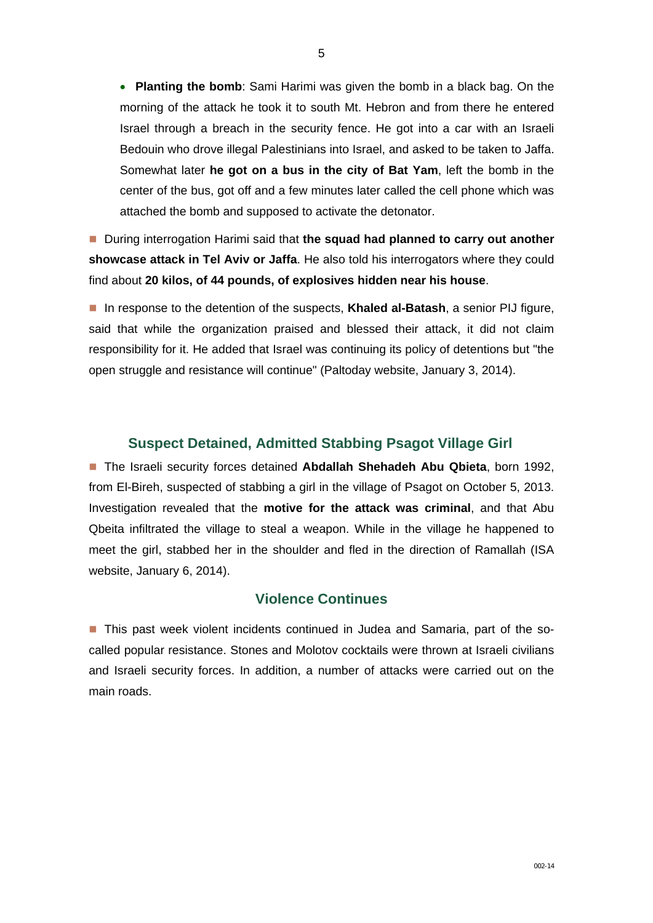**Planting the bomb**: Sami Harimi was given the bomb in a black bag. On the morning of the attack he took it to south Mt. Hebron and from there he entered Israel through a breach in the security fence. He got into a car with an Israeli Bedouin who drove illegal Palestinians into Israel, and asked to be taken to Jaffa. Somewhat later **he got on a bus in the city of Bat Yam**, left the bomb in the center of the bus, got off and a few minutes later called the cell phone which was attached the bomb and supposed to activate the detonator.

■ During interrogation Harimi said that **the squad had planned to carry out another showcase attack in Tel Aviv or Jaffa**. He also told his interrogators where they could find about **20 kilos, of 44 pounds, of explosives hidden near his house**.

**In response to the detention of the suspects, Khaled al-Batash, a senior PIJ figure,** said that while the organization praised and blessed their attack, it did not claim responsibility for it. He added that Israel was continuing its policy of detentions but "the open struggle and resistance will continue" (Paltoday website, January 3, 2014).

#### **Suspect Detained, Admitted Stabbing Psagot Village Girl**

 The Israeli security forces detained **Abdallah Shehadeh Abu Qbieta**, born 1992, from El-Bireh, suspected of stabbing a girl in the village of Psagot on October 5, 2013. Investigation revealed that the **motive for the attack was criminal**, and that Abu Qbeita infiltrated the village to steal a weapon. While in the village he happened to meet the girl, stabbed her in the shoulder and fled in the direction of Ramallah (ISA website, January 6, 2014).

#### **Violence Continues**

■ This past week violent incidents continued in Judea and Samaria, part of the socalled popular resistance. Stones and Molotov cocktails were thrown at Israeli civilians and Israeli security forces. In addition, a number of attacks were carried out on the main roads.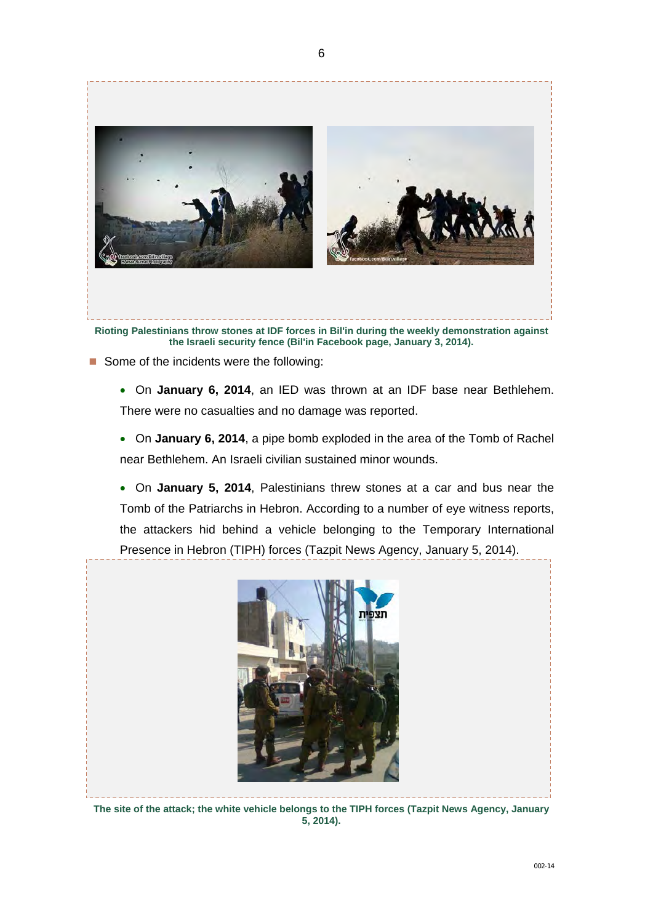

- Some of the incidents were the following:
	- On **January 6, 2014**, an IED was thrown at an IDF base near Bethlehem. There were no casualties and no damage was reported.
	- On **January 6, 2014**, a pipe bomb exploded in the area of the Tomb of Rachel near Bethlehem. An Israeli civilian sustained minor wounds.
	- On **January 5, 2014**, Palestinians threw stones at a car and bus near the Tomb of the Patriarchs in Hebron. According to a number of eye witness reports, the attackers hid behind a vehicle belonging to the Temporary International Presence in Hebron (TIPH) forces (Tazpit News Agency, January 5, 2014).



**The site of the attack; the white vehicle belongs to the TIPH forces (Tazpit News Agency, January 5, 2014).**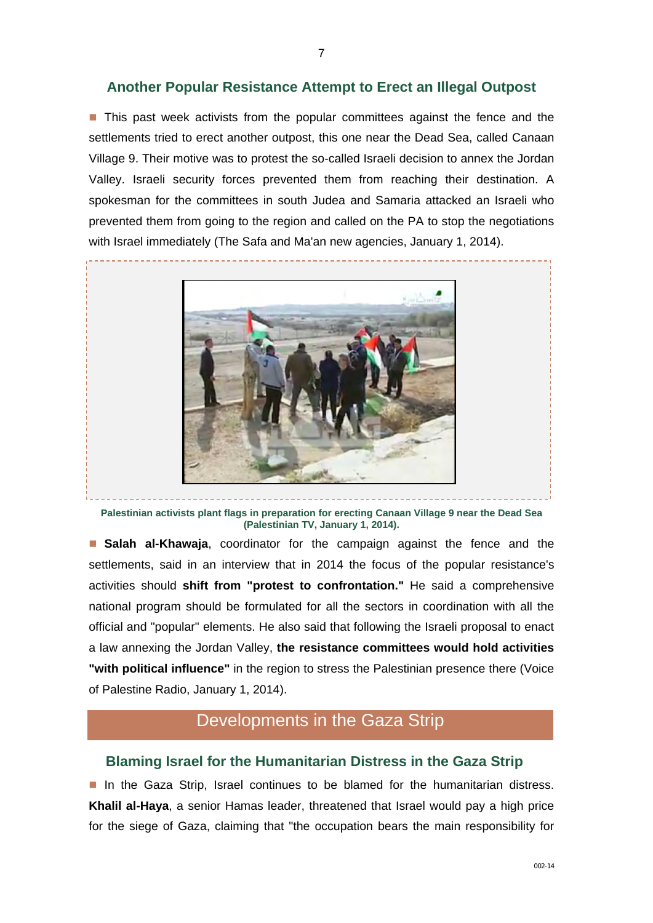### **Another Popular Resistance Attempt to Erect an Illegal Outpost**

**This past week activists from the popular committees against the fence and the** settlements tried to erect another outpost, this one near the Dead Sea, called Canaan Village 9. Their motive was to protest the so-called Israeli decision to annex the Jordan Valley. Israeli security forces prevented them from reaching their destination. A spokesman for the committees in south Judea and Samaria attacked an Israeli who prevented them from going to the region and called on the PA to stop the negotiations with Israel immediately (The Safa and Ma'an new agencies, January 1, 2014).



**Palestinian activists plant flags in preparation for erecting Canaan Village 9 near the Dead Sea (Palestinian TV, January 1, 2014).** 

**Salah al-Khawaja**, coordinator for the campaign against the fence and the settlements, said in an interview that in 2014 the focus of the popular resistance's activities should **shift from "protest to confrontation."** He said a comprehensive national program should be formulated for all the sectors in coordination with all the official and "popular" elements. He also said that following the Israeli proposal to enact a law annexing the Jordan Valley, **the resistance committees would hold activities "with political influence"** in the region to stress the Palestinian presence there (Voice of Palestine Radio, January 1, 2014).

# Developments in the Gaza Strip

### **Blaming Israel for the Humanitarian Distress in the Gaza Strip**

In the Gaza Strip, Israel continues to be blamed for the humanitarian distress. **Khalil al-Haya**, a senior Hamas leader, threatened that Israel would pay a high price for the siege of Gaza, claiming that "the occupation bears the main responsibility for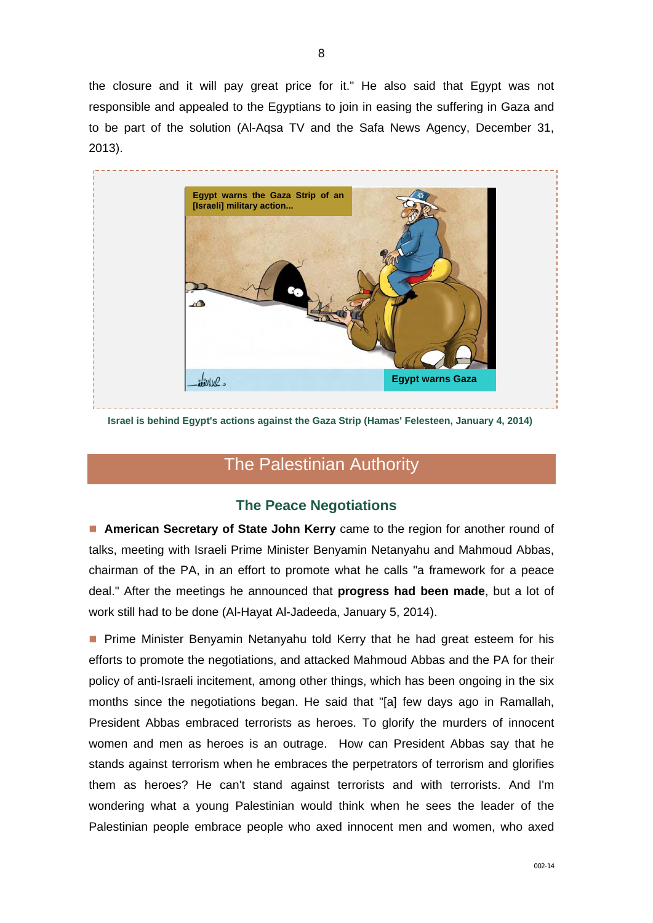the closure and it will pay great price for it." He also said that Egypt was not responsible and appealed to the Egyptians to join in easing the suffering in Gaza and to be part of the solution (Al-Aqsa TV and the Safa News Agency, December 31, 2013).



**Israel is behind Egypt's actions against the Gaza Strip (Hamas' Felesteen, January 4, 2014)** 

## The Palestinian Authority

### **The Peace Negotiations**

 **American Secretary of State John Kerry** came to the region for another round of talks, meeting with Israeli Prime Minister Benyamin Netanyahu and Mahmoud Abbas, chairman of the PA, in an effort to promote what he calls "a framework for a peace deal." After the meetings he announced that **progress had been made**, but a lot of work still had to be done (Al-Hayat Al-Jadeeda, January 5, 2014).

**Prime Minister Benyamin Netanyahu told Kerry that he had great esteem for his** efforts to promote the negotiations, and attacked Mahmoud Abbas and the PA for their policy of anti-Israeli incitement, among other things, which has been ongoing in the six months since the negotiations began. He said that "[a] few days ago in Ramallah, President Abbas embraced terrorists as heroes. To glorify the murders of innocent women and men as heroes is an outrage. How can President Abbas say that he stands against terrorism when he embraces the perpetrators of terrorism and glorifies them as heroes? He can't stand against terrorists and with terrorists. And I'm wondering what a young Palestinian would think when he sees the leader of the Palestinian people embrace people who axed innocent men and women, who axed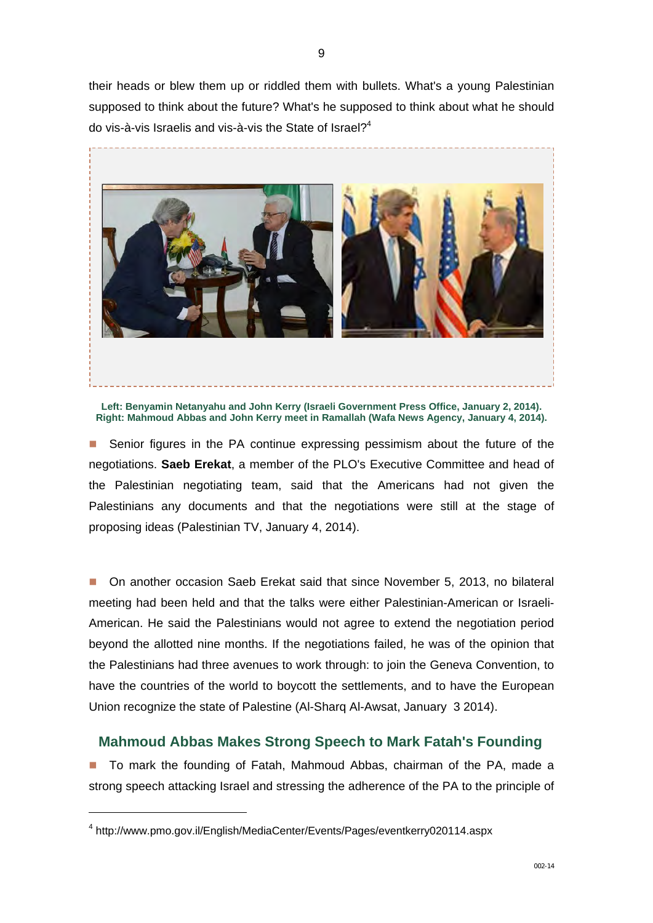their heads or blew them up or riddled them with bullets. What's a young Palestinian supposed to think about the future? What's he supposed to think about what he should do vis-à-vis Israelis and vis-à-vis the State of Israel?<sup>4</sup>



**Left: Benyamin Netanyahu and John Kerry (Israeli Government Press Office, January 2, 2014). Right: Mahmoud Abbas and John Kerry meet in Ramallah (Wafa News Agency, January 4, 2014).**

■ Senior figures in the PA continue expressing pessimism about the future of the negotiations. **Saeb Erekat**, a member of the PLO's Executive Committee and head of the Palestinian negotiating team, said that the Americans had not given the Palestinians any documents and that the negotiations were still at the stage of proposing ideas (Palestinian TV, January 4, 2014).

■ On another occasion Saeb Erekat said that since November 5, 2013, no bilateral meeting had been held and that the talks were either Palestinian-American or Israeli-American. He said the Palestinians would not agree to extend the negotiation period beyond the allotted nine months. If the negotiations failed, he was of the opinion that the Palestinians had three avenues to work through: to join the Geneva Convention, to have the countries of the world to boycott the settlements, and to have the European Union recognize the state of Palestine (Al-Sharq Al-Awsat, January 3 2014).

### **Mahmoud Abbas Makes Strong Speech to Mark Fatah's Founding**

■ To mark the founding of Fatah, Mahmoud Abbas, chairman of the PA, made a strong speech attacking Israel and stressing the adherence of the PA to the principle of

 $\overline{a}$ 

<sup>4</sup> http://www.pmo.gov.il/English/MediaCenter/Events/Pages/eventkerry020114.aspx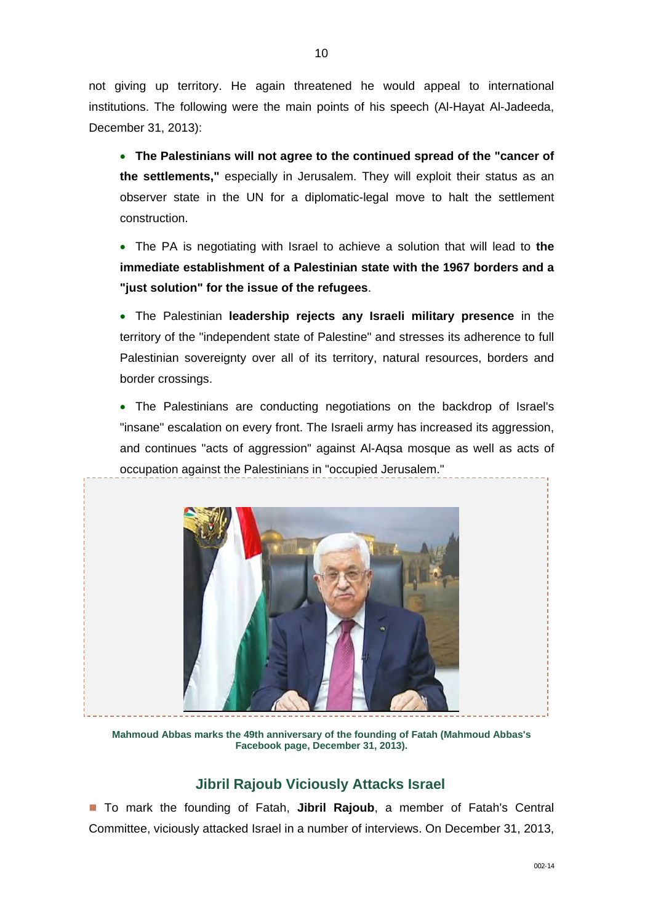not giving up territory. He again threatened he would appeal to international institutions. The following were the main points of his speech (Al-Hayat Al-Jadeeda, December 31, 2013):

- **The Palestinians will not agree to the continued spread of the "cancer of the settlements,"** especially in Jerusalem. They will exploit their status as an observer state in the UN for a diplomatic-legal move to halt the settlement construction.
- The PA is negotiating with Israel to achieve a solution that will lead to **the immediate establishment of a Palestinian state with the 1967 borders and a "just solution" for the issue of the refugees**.
- The Palestinian **leadership rejects any Israeli military presence** in the territory of the "independent state of Palestine" and stresses its adherence to full Palestinian sovereignty over all of its territory, natural resources, borders and border crossings.
- The Palestinians are conducting negotiations on the backdrop of Israel's "insane" escalation on every front. The Israeli army has increased its aggression, and continues "acts of aggression" against Al-Aqsa mosque as well as acts of occupation against the Palestinians in "occupied Jerusalem."



**Mahmoud Abbas marks the 49th anniversary of the founding of Fatah (Mahmoud Abbas's Facebook page, December 31, 2013).**

## **Jibril Rajoub Viciously Attacks Israel**

■ To mark the founding of Fatah, **Jibril Rajoub**, a member of Fatah's Central Committee, viciously attacked Israel in a number of interviews. On December 31, 2013,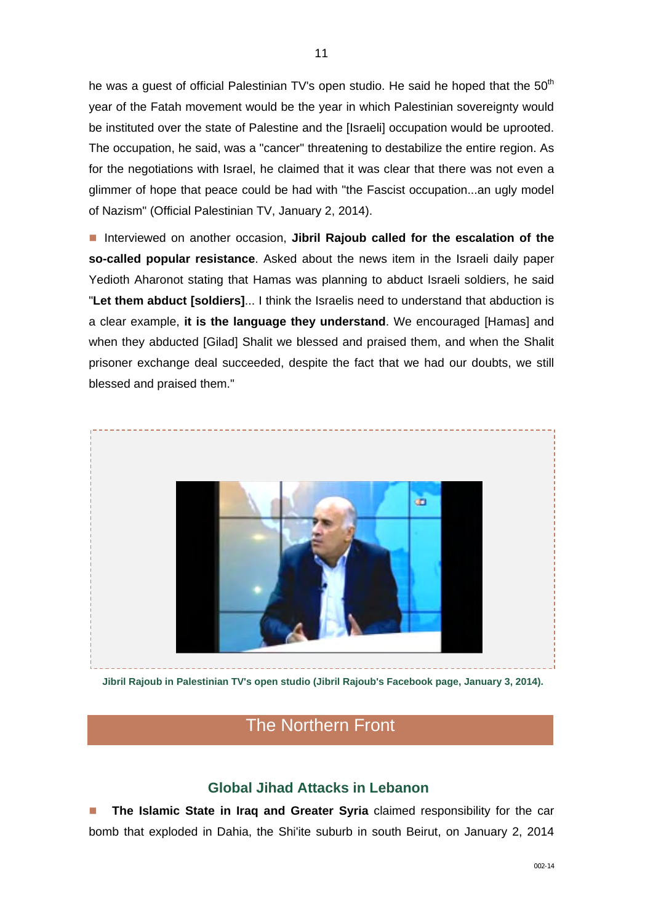he was a guest of official Palestinian TV's open studio. He said he hoped that the 50<sup>th</sup> year of the Fatah movement would be the year in which Palestinian sovereignty would be instituted over the state of Palestine and the [Israeli] occupation would be uprooted. The occupation, he said, was a "cancer" threatening to destabilize the entire region. As for the negotiations with Israel, he claimed that it was clear that there was not even a glimmer of hope that peace could be had with "the Fascist occupation...an ugly model of Nazism" (Official Palestinian TV, January 2, 2014).

**Interviewed on another occasion, Jibril Rajoub called for the escalation of the so-called popular resistance**. Asked about the news item in the Israeli daily paper Yedioth Aharonot stating that Hamas was planning to abduct Israeli soldiers, he said "**Let them abduct [soldiers]**... I think the Israelis need to understand that abduction is a clear example, **it is the language they understand**. We encouraged [Hamas] and when they abducted [Gilad] Shalit we blessed and praised them, and when the Shalit prisoner exchange deal succeeded, despite the fact that we had our doubts, we still blessed and praised them."



 **Jibril Rajoub in Palestinian TV's open studio (Jibril Rajoub's Facebook page, January 3, 2014).**

## The Northern Front

### **Global Jihad Attacks in Lebanon**

**The Islamic State in Iraq and Greater Syria** claimed responsibility for the car bomb that exploded in Dahia, the Shi'ite suburb in south Beirut, on January 2, 2014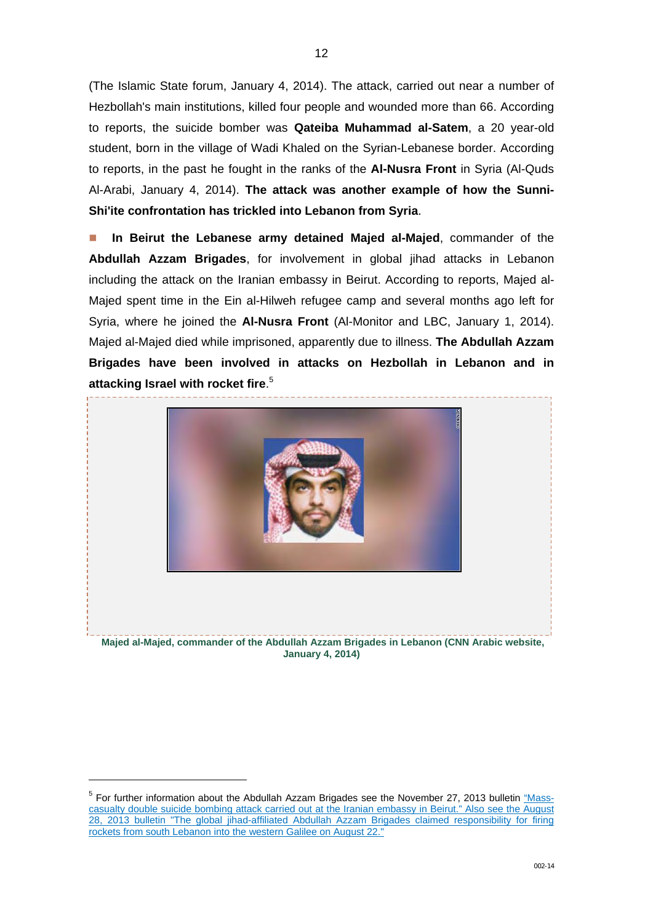(The Islamic State forum, January 4, 2014). The attack, carried out near a number of Hezbollah's main institutions, killed four people and wounded more than 66. According to reports, the suicide bomber was **Qateiba Muhammad al-Satem**, a 20 year-old student, born in the village of Wadi Khaled on the Syrian-Lebanese border. According to reports, in the past he fought in the ranks of the **Al-Nusra Front** in Syria (Al-Quds Al-Arabi, January 4, 2014). **The attack was another example of how the Sunni-Shi'ite confrontation has trickled into Lebanon from Syria**.

 **In Beirut the Lebanese army detained Majed al-Majed**, commander of the **Abdullah Azzam Brigades**, for involvement in global jihad attacks in Lebanon including the attack on the Iranian embassy in Beirut. According to reports, Majed al-Majed spent time in the Ein al-Hilweh refugee camp and several months ago left for Syria, where he joined the **Al-Nusra Front** (Al-Monitor and LBC, January 1, 2014). Majed al-Majed died while imprisoned, apparently due to illness. **The Abdullah Azzam Brigades have been involved in attacks on Hezbollah in Lebanon and in attacking Israel with rocket fire**. 5



 **Majed al-Majed, commander of the Abdullah Azzam Brigades in Lebanon (CNN Arabic website, January 4, 2014)**

-

<sup>&</sup>lt;sup>5</sup> For further information about the Abdullah Azzam Brigades see the November 27, 2013 bulletin "Mass[casualty double suicide bombing attack carried out at the Iranian embassy in Beirut." Also see the August](http://www.terrorism-info.org.il/en/article/20598)  28, 2013 bulletin "The global jihad-affiliated Abdullah Azzam Brigades claimed responsibility for firing rockets from south Lebanon into the western Galilee on August 22."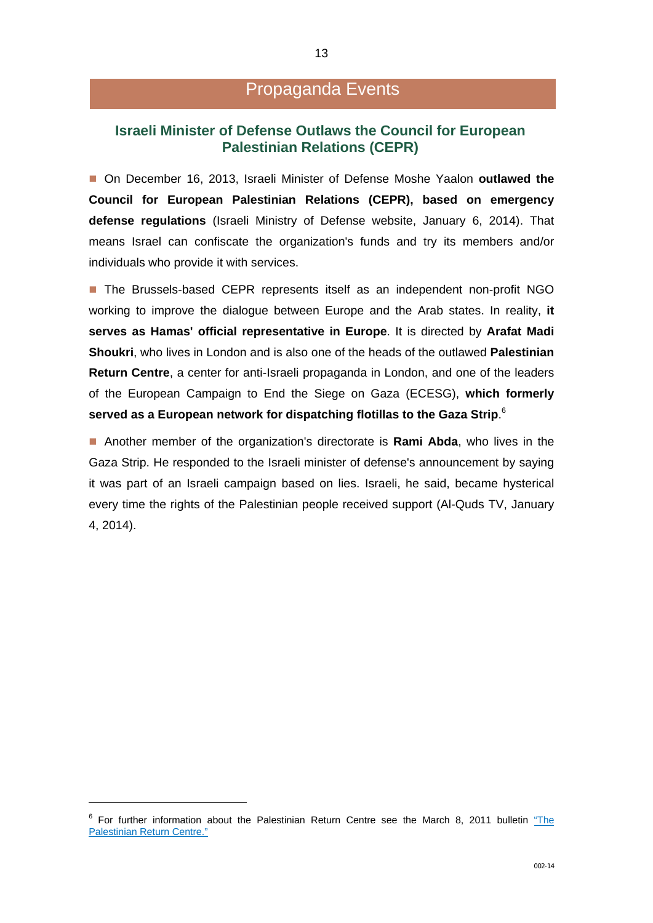## Propaganda Events

### **Israeli Minister of Defense Outlaws the Council for European Palestinian Relations (CEPR)**

■ On December 16, 2013, Israeli Minister of Defense Moshe Yaalon **outlawed the Council for European Palestinian Relations (CEPR), based on emergency defense regulations** (Israeli Ministry of Defense website, January 6, 2014). That means Israel can confiscate the organization's funds and try its members and/or individuals who provide it with services.

■ The Brussels-based CEPR represents itself as an independent non-profit NGO working to improve the dialogue between Europe and the Arab states. In reality, **it serves as Hamas' official representative in Europe**. It is directed by **Arafat Madi Shoukri**, who lives in London and is also one of the heads of the outlawed **Palestinian Return Centre**, a center for anti-Israeli propaganda in London, and one of the leaders of the European Campaign to End the Siege on Gaza (ECESG), **which formerly served as a European network for dispatching flotillas to the Gaza Strip**. 6

 Another member of the organization's directorate is **Rami Abda**, who lives in the Gaza Strip. He responded to the Israeli minister of defense's announcement by saying it was part of an Israeli campaign based on lies. Israeli, he said, became hysterical every time the rights of the Palestinian people received support (Al-Quds TV, January 4, 2014).

1

 $6$  For further information about the Palestinian Return Centre see the March 8, 2011 bulletin "The Palestinian Return Centre."